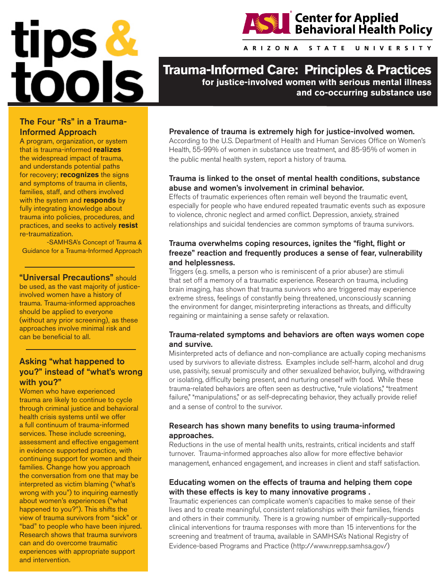



A R I Z O N A **STATE UNIVERSITY** 

**Trauma-Informed Care: Principles & Practices for justice-involved women with serious mental illness** 

**and co-occurring substance use** 

# The Four "Rs" in a Trauma-Informed Approach

A program, organization, or system that is trauma-informed **realizes** the widespread impact of trauma, and understands potential paths for recovery; **recognizes** the signs and symptoms of trauma in clients, families, staff, and others involved with the system and **responds** by fully integrating knowledge about trauma into policies, procedures, and practices, and seeks to actively **resist** re-traumatization.

-SAMHSA's Concept of Trauma & Guidance for a Trauma-Informed Approach

"Universal Precautions" should be used, as the vast majority of justiceinvolved women have a history of trauma. Trauma-informed approaches should be applied to everyone (without any prior screening), as these approaches involve minimal risk and can be beneficial to all.

# Asking "what happened to you?" instead of "what's wrong with you?"

Women who have experienced trauma are likely to continue to cycle through criminal justice and behavioral health crisis systems until we offer a full continuum of trauma-informed services. These include screening, assessment and effective engagement in evidence supported practice, with continuing support for women and their families. Change how you approach the conversation from one that may be interpreted as victim blaming ("what's wrong with you") to inquiring earnestly about women's experiences ("what happened to you?"). This shifts the view of trauma survivors from "sick" or "bad" to people who have been injured. Research shows that trauma survivors can and do overcome traumatic experiences with appropriate support and intervention.

#### Prevalence of trauma is extremely high for justice-involved women.

According to the U.S. Department of Health and Human Services Office on Women's Health, 55-99% of women in substance use treatment, and 85-95% of women in the public mental health system, report a history of trauma.

#### Trauma is linked to the onset of mental health conditions, substance abuse and women's involvement in criminal behavior.

Effects of traumatic experiences often remain well beyond the traumatic event, especially for people who have endured repeated traumatic events such as exposure to violence, chronic neglect and armed conflict. Depression, anxiety, strained relationships and suicidal tendencies are common symptoms of trauma survivors.

## Trauma overwhelms coping resources, ignites the "fight, flight or freeze" reaction and frequently produces a sense of fear, vulnerability and helplessness.

Triggers (e.g. smells, a person who is reminiscent of a prior abuser) are stimuli that set off a memory of a traumatic experience. Research on trauma, including brain imaging, has shown that trauma survivors who are triggered may experience extreme stress, feelings of constantly being threatened, unconsciously scanning the environment for danger, misinterpreting interactions as threats, and difficulty regaining or maintaining a sense safety or relaxation.

## Trauma-related symptoms and behaviors are often ways women cope and survive.

Misinterpreted acts of defiance and non-compliance are actually coping mechanisms used by survivors to alleviate distress. Examples include self-harm, alcohol and drug use, passivity, sexual promiscuity and other sexualized behavior, bullying, withdrawing or isolating, difficulty being present, and nurturing oneself with food. While these trauma-related behaviors are often seen as destructive, "rule violations," "treatment failure," "manipulations," or as self-deprecating behavior, they actually provide relief and a sense of control to the survivor.

#### Research has shown many benefits to using trauma-informed approaches.

Reductions in the use of mental health units, restraints, critical incidents and staff turnover. Trauma-informed approaches also allow for more effective behavior management, enhanced engagement, and increases in client and staff satisfaction.

#### Educating women on the effects of trauma and helping them cope with these effects is key to many innovative programs .

Traumatic experiences can complicate women's capacities to make sense of their lives and to create meaningful, consistent relationships with their families, friends and others in their community. There is a growing number of empirically-supported clinical interventions for trauma responses with more than 15 interventions for the screening and treatment of trauma, available in SAMHSA's National Registry of Evidence-based Programs and Practice (http://www.nrepp.samhsa.gov/)